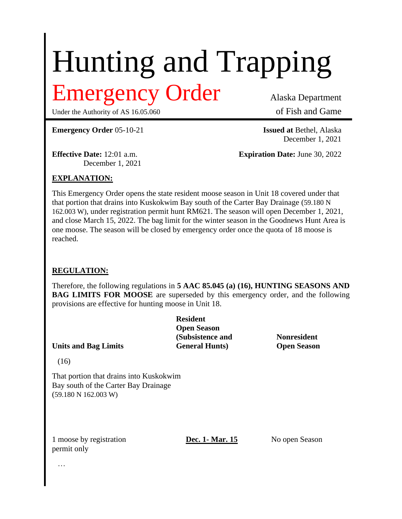# Hunting and Trapping

# Emergency Order Alaska Department

Under the Authority of AS 16.05.060 of Fish and Game

**Emergency Order** 05-10-21 **Issued at** Bethel, Alaska

December 1, 2021

December 1, 2021

**Effective Date:** 12:01 a.m. **Expiration Date:** June 30, 2022

## **EXPLANATION:**

This Emergency Order opens the state resident moose season in Unit 18 covered under that that portion that drains into Kuskokwim Bay south of the Carter Bay Drainage (59.180 N 162.003 W), under registration permit hunt RM621. The season will open December 1, 2021, and close March 15, 2022. The bag limit for the winter season in the Goodnews Hunt Area is one moose. The season will be closed by emergency order once the quota of 18 moose is reached.

#### **REGULATION:**

Therefore, the following regulations in **5 AAC 85.045 (a) (16), HUNTING SEASONS AND BAG LIMITS FOR MOOSE** are superseded by this emergency order, and the following provisions are effective for hunting moose in Unit 18.

**Resident Open Season (Subsistence and Nonresident Units and Bag Limits General Hunts) Open Season**

(16)

That portion that drains into Kuskokwim Bay south of the Carter Bay Drainage (59.180 N 162.003 W)

1 moose by registration **Dec. 1- Mar. 15** No open Season permit only

…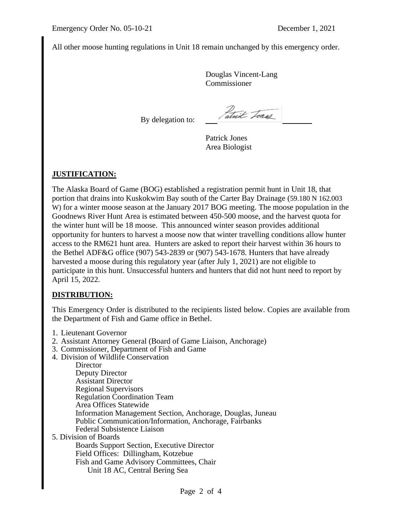All other moose hunting regulations in Unit 18 remain unchanged by this emergency order.

Douglas Vincent-Lang Commissioner

By delegation to:

atrix Fores

Patrick Jones Area Biologist

## **JUSTIFICATION:**

The Alaska Board of Game (BOG) established a registration permit hunt in Unit 18, that portion that drains into Kuskokwim Bay south of the Carter Bay Drainage (59.180 N 162.003 W) for a winter moose season at the January 2017 BOG meeting. The moose population in the Goodnews River Hunt Area is estimated between 450-500 moose, and the harvest quota for the winter hunt will be 18 moose. This announced winter season provides additional opportunity for hunters to harvest a moose now that winter travelling conditions allow hunter access to the RM621 hunt area. Hunters are asked to report their harvest within 36 hours to the Bethel ADF&G office (907) 543-2839 or (907) 543-1678. Hunters that have already harvested a moose during this regulatory year (after July 1, 2021) are not eligible to participate in this hunt. Unsuccessful hunters and hunters that did not hunt need to report by April 15, 2022.

#### **DISTRIBUTION:**

This Emergency Order is distributed to the recipients listed below. Copies are available from the Department of Fish and Game office in Bethel.

- 1. Lieutenant Governor
- 2. Assistant Attorney General (Board of Game Liaison, Anchorage)
- 3. Commissioner, Department of Fish and Game
- 4. Division of Wildlife Conservation

**Director** Deputy Director Assistant Director Regional Supervisors Regulation Coordination Team Area Offices Statewide Information Management Section, Anchorage, Douglas, Juneau Public Communication/Information, Anchorage, Fairbanks Federal Subsistence Liaison 5. Division of Boards

Boards Support Section, Executive Director Field Offices: Dillingham, Kotzebue Fish and Game Advisory Committees, Chair Unit 18 AC, Central Bering Sea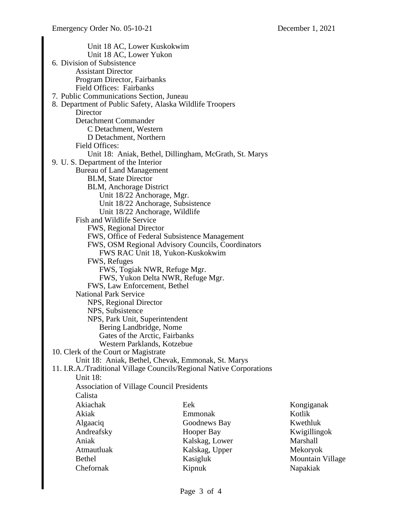Unit 18 AC, Lower Kuskokwim Unit 18 AC, Lower Yukon 6. Division of Subsistence Assistant Director Program Director, Fairbanks Field Offices: Fairbanks 7. Public Communications Section, Juneau 8. Department of Public Safety, Alaska Wildlife Troopers **Director** Detachment Commander C Detachment, Western D Detachment, Northern Field Offices: Unit 18: Aniak, Bethel, Dillingham, McGrath, St. Marys 9. U. S. Department of the Interior Bureau of Land Management BLM, State Director BLM, Anchorage District Unit 18/22 Anchorage, Mgr. Unit 18/22 Anchorage, Subsistence Unit 18/22 Anchorage, Wildlife Fish and Wildlife Service FWS, Regional Director FWS, Office of Federal Subsistence Management FWS, OSM Regional Advisory Councils, Coordinators FWS RAC Unit 18, Yukon-Kuskokwim FWS, Refuges FWS, Togiak NWR, Refuge Mgr. FWS, Yukon Delta NWR, Refuge Mgr. FWS, Law Enforcement, Bethel National Park Service NPS, Regional Director NPS, Subsistence NPS, Park Unit, Superintendent Bering Landbridge, Nome Gates of the Arctic, Fairbanks Western Parklands, Kotzebue 10. Clerk of the Court or Magistrate Unit 18: Aniak, Bethel, Chevak, Emmonak, St. Marys 11. I.R.A./Traditional Village Councils/Regional Native Corporations Unit 18: Association of Village Council Presidents Calista Akiachak Akiak Algaaciq Andreafsky Aniak Atmautluak Bethel Chefornak Eek Emmonak Goodnews Bay Hooper Bay Kalskag, Lower Kalskag, Upper Kasigluk Kipnuk Kongiganak Kotlik Kwethluk Kwigillingok Marshall Mekoryok Mountain Village Napakiak